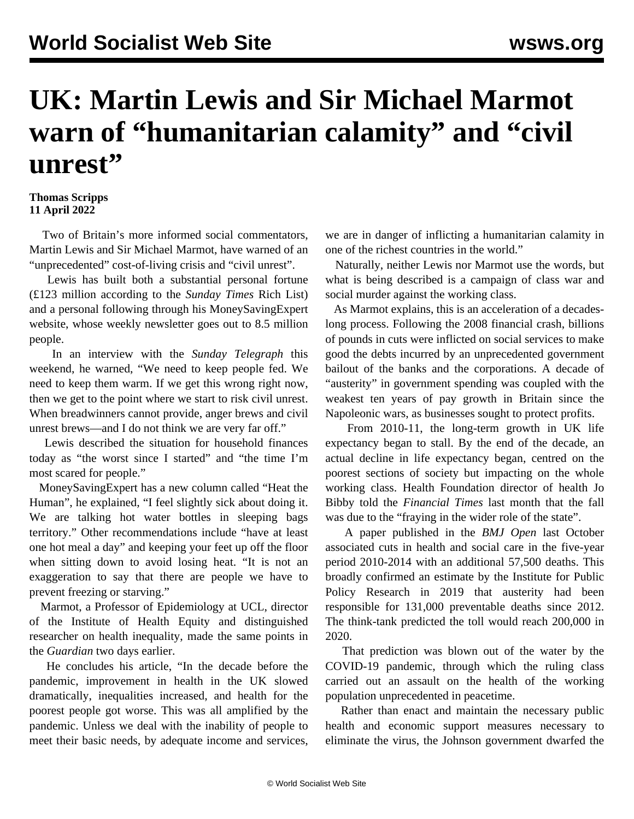## **UK: Martin Lewis and Sir Michael Marmot warn of "humanitarian calamity" and "civil unrest"**

## **Thomas Scripps 11 April 2022**

 Two of Britain's more informed social commentators, Martin Lewis and Sir Michael Marmot, have warned of an "unprecedented" cost-of-living crisis and "civil unrest".

 Lewis has built both a substantial personal fortune (£123 million according to the *Sunday Times* Rich List) and a personal following through his MoneySavingExpert website, whose weekly newsletter goes out to 8.5 million people.

 In an interview with the *Sunday Telegraph* this weekend, he warned, "We need to keep people fed. We need to keep them warm. If we get this wrong right now, then we get to the point where we start to risk civil unrest. When breadwinners cannot provide, anger brews and civil unrest brews—and I do not think we are very far off."

 Lewis described the situation for household finances today as "the worst since I started" and "the time I'm most scared for people."

 MoneySavingExpert has a new column called "Heat the Human", he explained, "I feel slightly sick about doing it. We are talking hot water bottles in sleeping bags territory." Other recommendations include "have at least one hot meal a day" and keeping your feet up off the floor when sitting down to avoid losing heat. "It is not an exaggeration to say that there are people we have to prevent freezing or starving."

 Marmot, a Professor of Epidemiology at UCL, director of the Institute of Health Equity and distinguished researcher on health inequality, made the same points in the *Guardian* two days earlier.

 He concludes his article, "In the decade before the pandemic, improvement in health in the UK slowed dramatically, inequalities increased, and health for the poorest people got worse. This was all amplified by the pandemic. Unless we deal with the inability of people to meet their basic needs, by adequate income and services,

we are in danger of inflicting a humanitarian calamity in one of the richest countries in the world."

 Naturally, neither Lewis nor Marmot use the words, but what is being described is a campaign of class war and social murder against the working class.

 As Marmot explains, this is an acceleration of a decadeslong process. Following the 2008 financial crash, billions of pounds in cuts were inflicted on social services to make good the debts incurred by an unprecedented government bailout of the banks and the corporations. A decade of "austerity" in government spending was coupled with the weakest ten years of pay growth in Britain since the Napoleonic wars, as businesses sought to protect profits.

 From 2010-11, the long-term growth in UK life expectancy began to stall. By the end of the decade, an actual decline in life expectancy began, centred on the poorest sections of society but impacting on the whole working class. Health Foundation director of health Jo Bibby told the *Financial Times* last month that the fall was due to the "fraying in the wider role of the state".

 A paper published in the *BMJ Open* last October associated cuts in health and social care in the five-year period 2010-2014 with an additional 57,500 deaths. This broadly confirmed an estimate by the Institute for Public Policy Research in 2019 that austerity had been responsible for 131,000 preventable deaths since 2012. The think-tank predicted the toll would reach 200,000 in 2020.

 That prediction was blown out of the water by the COVID-19 pandemic, through which the ruling class carried out an assault on the health of the working population unprecedented in peacetime.

 Rather than enact and maintain the necessary public health and economic support measures necessary to eliminate the virus, the Johnson government dwarfed the